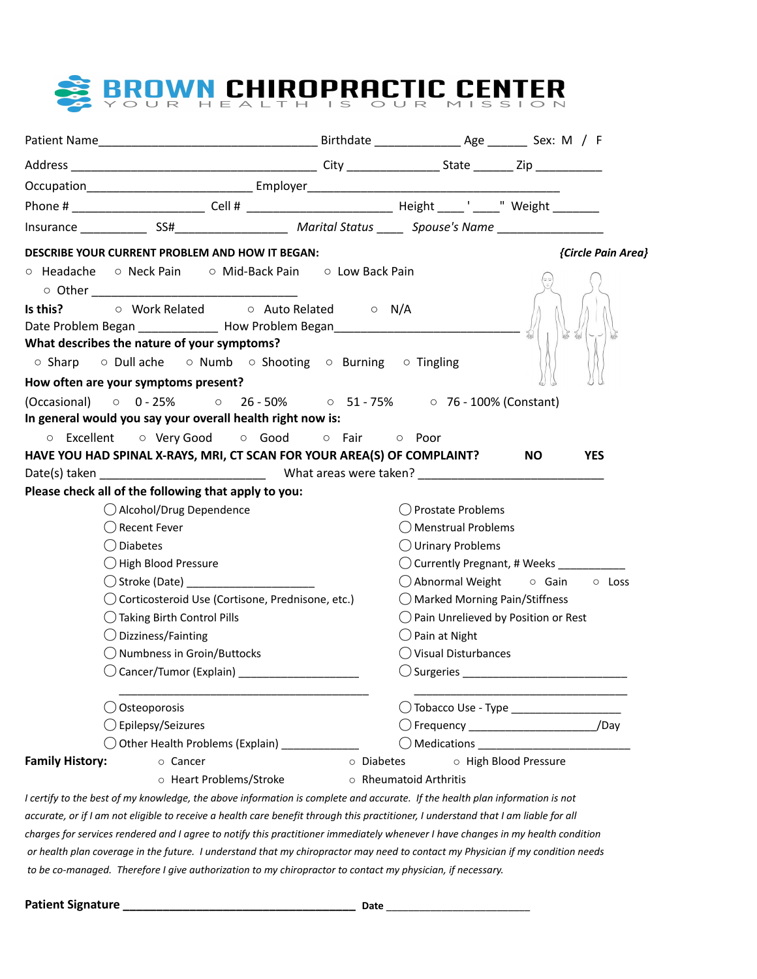

| DESCRIBE YOUR CURRENT PROBLEM AND HOW IT BEGAN:                                                                                     |            |                                                | {Circle Pain Area}                         |
|-------------------------------------------------------------------------------------------------------------------------------------|------------|------------------------------------------------|--------------------------------------------|
| ○ Headache ○ Neck Pain ○ Mid-Back Pain ○ Low Back Pain                                                                              |            |                                                |                                            |
|                                                                                                                                     |            |                                                |                                            |
| Date Problem Began ______________ How Problem Began_____________________________                                                    |            |                                                |                                            |
| What describes the nature of your symptoms?                                                                                         |            |                                                |                                            |
| ○ Sharp ○ Dull ache ○ Numb ○ Shooting ○ Burning ○ Tingling                                                                          |            |                                                |                                            |
| How often are your symptoms present?                                                                                                |            |                                                |                                            |
| (Occasional) ○ 0 - 25% ○ 26 - 50% ○ 51 - 75% ○ 76 - 100% (Constant)                                                                 |            |                                                |                                            |
| In general would you say your overall health right now is:                                                                          |            |                                                |                                            |
| o Excellent o Very Good o Good o Fair o Poor                                                                                        |            |                                                |                                            |
| HAVE YOU HAD SPINAL X-RAYS, MRI, CT SCAN FOR YOUR AREA(S) OF COMPLAINT?                                                             |            |                                                | <b>NO</b><br><b>YES</b>                    |
|                                                                                                                                     |            |                                                |                                            |
| Please check all of the following that apply to you:                                                                                |            |                                                |                                            |
| ◯ Alcohol/Drug Dependence                                                                                                           |            | () Prostate Problems                           |                                            |
| ◯ Recent Fever                                                                                                                      |            | ◯ Menstrual Problems                           |                                            |
| $\bigcirc$ Diabetes                                                                                                                 |            | $\bigcirc$ Urinary Problems                    |                                            |
| $\bigcirc$ High Blood Pressure                                                                                                      |            |                                                |                                            |
|                                                                                                                                     |            |                                                | ○ Abnormal Weight o Gain o Loss            |
| ◯ Corticosteroid Use (Cortisone, Prednisone, etc.)                                                                                  |            | $\bigcirc$ Marked Morning Pain/Stiffness       |                                            |
| ◯ Taking Birth Control Pills                                                                                                        |            | $\bigcirc$ Pain Unrelieved by Position or Rest |                                            |
| $\bigcirc$ Dizziness/Fainting                                                                                                       |            | $\bigcirc$ Pain at Night                       |                                            |
| $\bigcirc$ Numbness in Groin/Buttocks                                                                                               |            | $\bigcirc$ Visual Disturbances                 |                                            |
| $\bigcirc$ Cancer/Tumor (Explain)                                                                                                   |            |                                                |                                            |
| Osteoporosis                                                                                                                        |            |                                                |                                            |
| Epilepsy/Seizures                                                                                                                   |            |                                                | C Frequency __________________________/Day |
| $\bigcirc$ Other Health Problems (Explain) __________                                                                               |            |                                                |                                            |
| <b>Family History:</b><br>○ Cancer                                                                                                  | o Diabetes |                                                | O High Blood Pressure                      |
| O Heart Problems/Stroke                                                                                                             |            | ○ Rheumatoid Arthritis                         |                                            |
| I certify to the best of my knowledge, the above information is complete and accurate. If the health plan information is not        |            |                                                |                                            |
| accurate, or if I am not eligible to receive a health care benefit through this practitioner, I understand that I am liable for all |            |                                                |                                            |
| charges for services rendered and I agree to notify this practitioner immediately whenever I have changes in my health condition    |            |                                                |                                            |
| or health plan coverage in the future. I understand that my chiropractor may need to contact my Physician if my condition needs     |            |                                                |                                            |

 *to be co-managed. Therefore I give authorization to my chiropractor to contact my physician, if necessary.*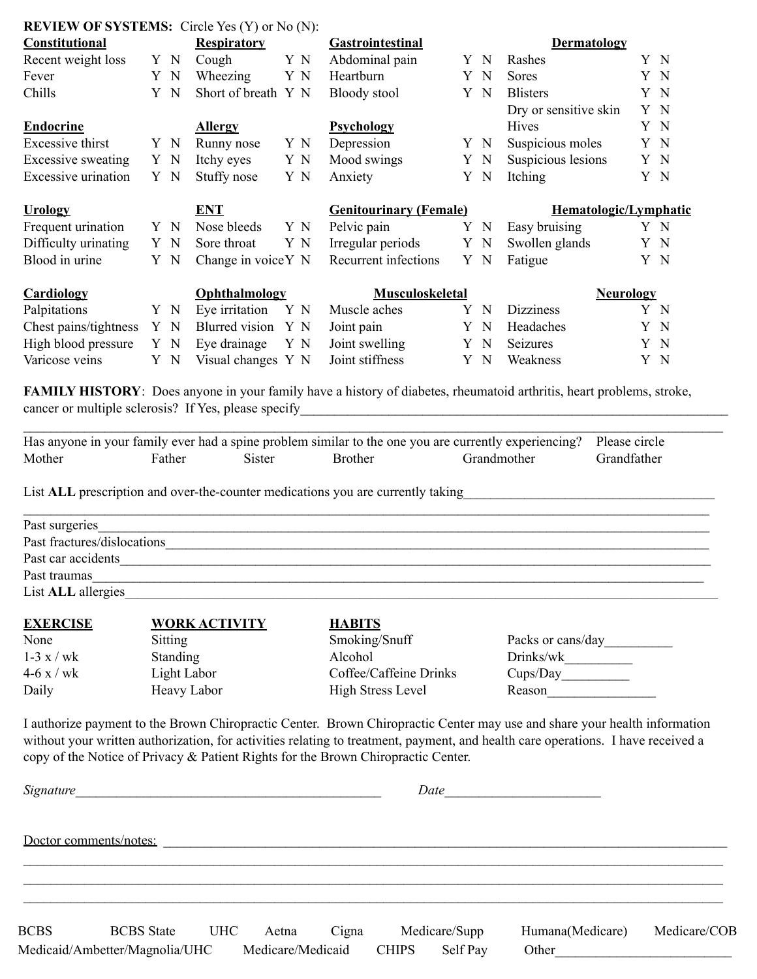| <b>Constitutional</b>      |     | <b>Respiratory</b>   |     | <b>Gastrointestinal</b>       |   |             | <b>Dermatology</b>    |     |
|----------------------------|-----|----------------------|-----|-------------------------------|---|-------------|-----------------------|-----|
| Recent weight loss         | Y N | Cough                | Y N | Abdominal pain                |   | Y N         | Rashes                | Y N |
| Fever                      | Y N | Wheezing             | Y N | Heartburn                     |   | Y N         | Sores                 | Y N |
| Chills                     | Y N | Short of breath Y N  |     | Bloody stool                  |   | Y N         | <b>Blisters</b>       | Y N |
|                            |     |                      |     |                               |   |             | Dry or sensitive skin | Y N |
| <b>Endocrine</b>           |     | <b>Allergy</b>       |     | <b>Psychology</b>             |   |             | <b>Hives</b>          | Y N |
| Excessive thirst           | Y N | Runny nose           | Y N | Depression                    |   | Y N         | Suspicious moles      | Y N |
| Excessive sweating         | Y N | Itchy eyes           | Y N | Mood swings                   |   | Y N         | Suspicious lesions    | Y N |
| <b>Excessive urination</b> | Y N | Stuffy nose          | Y N | Anxiety                       |   | Y N         | Itching               | Y N |
| <b>Urology</b>             |     | <b>ENT</b>           |     | <b>Genitourinary (Female)</b> |   |             | Hematologic/Lymphatic |     |
| Frequent urination         | Y N | Nose bleeds          | Y N | Pelvic pain                   |   | Y N         | Easy bruising         | Y N |
| Difficulty urinating       | Y N | Sore throat          | Y N | Irregular periods             |   | Y N         | Swollen glands        | Y N |
| Blood in urine             | Y N | Change in voice Y N  |     | Recurrent infections          |   | Y N         | Fatigue               | Y N |
| <b>Cardiology</b>          |     | <b>Ophthalmology</b> |     | <b>Musculoskeletal</b>        |   |             | <b>Neurology</b>      |     |
| Palpitations               | Y N | Eye irritation       | Y N | Muscle aches                  | Y | $\mathbf N$ | <b>Dizziness</b>      | Y N |
| Chest pains/tightness      | Y N | Blurred vision       | Y N | Joint pain                    |   | Y N         | Headaches             | Y N |
| High blood pressure        | Y N | Eye drainage         | Y N | Joint swelling                |   | Y N         | Seizures              | Y N |
| Varicose veins             | Y N | Visual changes Y N   |     | Joint stiffness               |   | Y N         | Weakness              | Y N |

**FAMILY HISTORY**: Does anyone in your family have a history of diabetes, rheumatoid arthritis, heart problems, stroke, cancer or multiple sclerosis? If Yes, please specify\_\_\_\_\_\_\_\_\_\_\_\_\_\_\_\_\_\_\_\_\_\_\_\_\_\_\_\_\_\_\_\_\_\_\_\_\_\_\_\_\_\_\_\_\_\_\_\_\_\_\_\_\_\_\_\_\_\_\_\_\_\_\_

|        |        |               |                | Has anyone in your family ever had a spine problem similar to the one you are currently experiencing? Please circle |             |
|--------|--------|---------------|----------------|---------------------------------------------------------------------------------------------------------------------|-------------|
| Mother | Father | <b>Sister</b> | <b>Brother</b> | Grandmother                                                                                                         | Grandfather |

List **ALL** prescription and over-the-counter medications you are currently taking

**REVIEW OF SYSTEMS:** Circle Yes (Y) or No (N):

| Past surgeries              |  |
|-----------------------------|--|
| Past fractures/dislocations |  |
| Past car accidents          |  |
| Past traumas                |  |
| List <b>ALL</b> allergies   |  |
|                             |  |

| <b>EXERCISE</b>               | <b>WORK ACTIVITY</b>                                | <b>HABITS</b>                             |                                                                                                                                                                                                                                                                                                                                                                                                                                                                                            |
|-------------------------------|-----------------------------------------------------|-------------------------------------------|--------------------------------------------------------------------------------------------------------------------------------------------------------------------------------------------------------------------------------------------------------------------------------------------------------------------------------------------------------------------------------------------------------------------------------------------------------------------------------------------|
| None                          | Sitting                                             | Smoking/Snuff                             | Packs or cans/day                                                                                                                                                                                                                                                                                                                                                                                                                                                                          |
| $1-3 \times / wk$             | Standing                                            | Alcohol                                   | Drinks/wk                                                                                                                                                                                                                                                                                                                                                                                                                                                                                  |
| $4-6 \times / wk$             | Light Labor                                         | Coffee/Caffeine Drinks                    | Cups/Day                                                                                                                                                                                                                                                                                                                                                                                                                                                                                   |
| Daily                         | Heavy Labor                                         | <b>High Stress Level</b>                  | Reason                                                                                                                                                                                                                                                                                                                                                                                                                                                                                     |
| $\mathbf{r}$ and $\mathbf{r}$ | $\sim$ $\sim$<br>$\sim$ $\sim$ $\sim$ $\sim$ $\sim$ | $\sim$ $\sim$ $\sim$ $\sim$ $\sim$ $\sim$ | $\blacksquare$ $\blacksquare$ $\blacksquare$ $\blacksquare$ $\blacksquare$ $\blacksquare$ $\blacksquare$ $\blacksquare$ $\blacksquare$ $\blacksquare$ $\blacksquare$ $\blacksquare$ $\blacksquare$ $\blacksquare$ $\blacksquare$ $\blacksquare$ $\blacksquare$ $\blacksquare$ $\blacksquare$ $\blacksquare$ $\blacksquare$ $\blacksquare$ $\blacksquare$ $\blacksquare$ $\blacksquare$ $\blacksquare$ $\blacksquare$ $\blacksquare$ $\blacksquare$ $\blacksquare$ $\blacksquare$ $\blacks$ |

I authorize payment to the Brown Chiropractic Center. Brown Chiropractic Center may use and share your health information without your written authorization, for activities relating to treatment, payment, and health care operations. I have received a copy of the Notice of Privacy & Patient Rights for the Brown Chiropractic Center.

| Signature   |                                |            |                   | Date<br><u> 1980 - Jan Samuel Barbara, martin a</u> |              |               |                  |              |
|-------------|--------------------------------|------------|-------------------|-----------------------------------------------------|--------------|---------------|------------------|--------------|
|             | Doctor comments/notes:         |            |                   |                                                     |              |               |                  |              |
| <b>BCBS</b> | <b>BCBS</b> State              | <b>UHC</b> | Aetna             | Cigna                                               |              | Medicare/Supp | Humana(Medicare) | Medicare/COB |
|             | Medicaid/Ambetter/Magnolia/UHC |            | Medicare/Medicaid |                                                     | <b>CHIPS</b> | Self Pay      | Other            |              |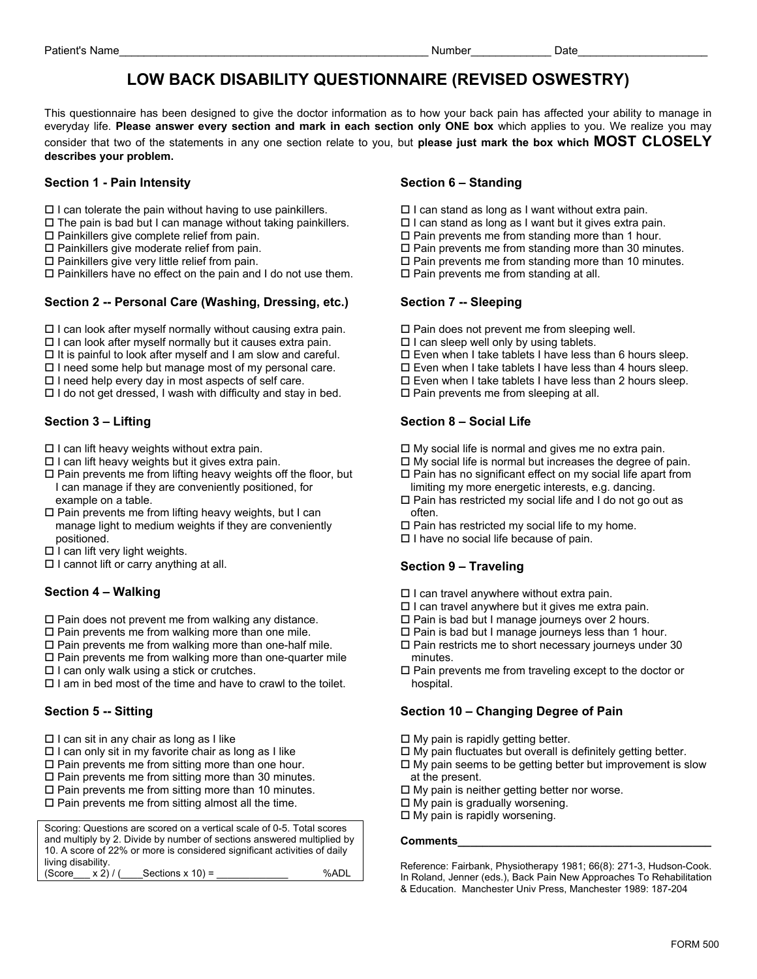# **LOW BACK DISABILITY QUESTIONNAIRE (REVISED OSWESTRY)**

This questionnaire has been designed to give the doctor information as to how your back pain has affected your ability to manage in everyday life. **Please answer every section and mark in each section only ONE box** which applies to you. We realize you may consider that two of the statements in any one section relate to you, but **please just mark the box which MOST CLOSELY describes your problem.** 

#### **Section 1 - Pain Intensity Contract Contract Contract Contract Contract Contract Contract Contract Contract Contract Contract Contract Contract Contract Contract Contract Contract Contract Contract Contract Contract Contr**

- $\square$  I can tolerate the pain without having to use painkillers.
- $\square$  The pain is bad but I can manage without taking painkillers.
- $\square$  Painkillers give complete relief from pain.
- $\square$  Painkillers give moderate relief from pain.
- $\square$  Painkillers give very little relief from pain.

 $\Box$  Painkillers have no effect on the pain and I do not use them.  $\Box$  Pain prevents me from standing at all.

### Section 2 -- Personal Care (Washing, Dressing, etc.) Section 7 -- Sleeping

- $\Box$  I can look after myself normally without causing extra pain.
- $\Box$  I can look after myself normally but it causes extra pain.
- $\Box$  It is painful to look after myself and I am slow and careful.
- $\square$  I need some help but manage most of my personal care.
- $\square$  I need help every day in most aspects of self care.
- $\Box$  I do not get dressed, I wash with difficulty and stay in bed.

- $\square$  I can lift heavy weights without extra pain.
- $\square$  I can lift heavy weights but it gives extra pain.
- $\square$  Pain prevents me from lifting heavy weights off the floor, but I can manage if they are conveniently positioned, for example on a table.
- $\Box$  Pain prevents me from lifting heavy weights, but I can often.<br>
manage light to medium weights if they are conveniently  $\Box$  Pain has restricted my social life to my home. positioned. **I** have no social life because of pain. manage light to medium weights if they are conveniently
- $\Box$  I can lift very light weights.
- $\Box$  I cannot lift or carry anything at all.

### **Section 4 – Walking**

- $\square$  Pain does not prevent me from walking any distance.
- $\square$  Pain prevents me from walking more than one mile.
- $\square$  Pain prevents me from walking more than one-half mile.
- $\square$  Pain prevents me from walking more than one-quarter mile
- $\Box$  I can only walk using a stick or crutches.
- $\Box$  I am in bed most of the time and have to crawl to the toilet.

- $\Box$  I can sit in any chair as long as I like
- $\Box$  I can only sit in my favorite chair as long as I like
- $\square$  Pain prevents me from sitting more than one hour.
- $\square$  Pain prevents me from sitting more than 30 minutes.
- $\square$  Pain prevents me from sitting more than 10 minutes.
- $\square$  Pain prevents me from sitting almost all the time.

Scoring: Questions are scored on a vertical scale of 0-5. Total scores and multiply by 2. Divide by number of sections answered multiplied by 10. A score of 22% or more is considered significant activities of daily living disability.<br>(Score  $x 2$ ) /  $Sections x 10$  = %ADL

- $\square$  I can stand as long as I want without extra pain.
- $\square$  I can stand as long as I want but it gives extra pain.
- $\square$  Pain prevents me from standing more than 1 hour.
- $\square$  Pain prevents me from standing more than 30 minutes.
- $\square$  Pain prevents me from standing more than 10 minutes.
- 

- $\square$  Pain does not prevent me from sleeping well.
- $\Box$  I can sleep well only by using tablets.
- $\square$  Even when I take tablets I have less than 6 hours sleep.
- $\square$  Even when I take tablets I have less than 4 hours sleep.
- $\square$  Even when I take tablets I have less than 2 hours sleep.
- $\square$  Pain prevents me from sleeping at all.

### Section 3 – Lifting **Section 8 – Social Life Section 8 – Social Life**

- $\Box$  My social life is normal and gives me no extra pain.
- $\Box$  My social life is normal but increases the degree of pain.  $\square$  Pain has no significant effect on my social life apart from
- limiting my more energetic interests, e.g. dancing.  $\square$  Pain has restricted my social life and I do not go out as
- 
- 
- 

### **Section 9 – Traveling**

- $\Box$  I can travel anywhere without extra pain.
- $\Box$  I can travel anywhere but it gives me extra pain.
- $\square$  Pain is bad but I manage journeys over 2 hours.
- $\square$  Pain is bad but I manage journeys less than 1 hour.
- $\square$  Pain restricts me to short necessary journeys under 30 minutes.
- $\square$  Pain prevents me from traveling except to the doctor or hospital.

### **Section 5 -- Sitting Section 10 – Changing Degree of Pain**

- $\Box$  My pain is rapidly getting better.
- $\square$  My pain fluctuates but overall is definitely getting better.
- $\Box$  My pain seems to be getting better but improvement is slow at the present.
- $\Box$  My pain is neither getting better nor worse.
- $\Box$  My pain is gradually worsening.
- $\Box$  My pain is rapidly worsening.

#### **Comments\_\_\_\_\_\_\_\_\_\_\_\_\_\_\_\_\_\_\_\_\_\_\_\_\_\_\_\_\_\_\_\_\_\_\_\_\_\_\_\_\_**

Reference: Fairbank, Physiotherapy 1981; 66(8): 271-3, Hudson-Cook. In Roland, Jenner (eds.), Back Pain New Approaches To Rehabilitation & Education. Manchester Univ Press, Manchester 1989: 187-204